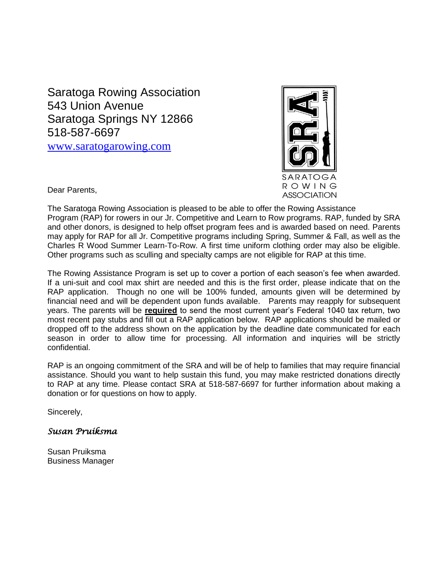Saratoga Rowing Association 543 Union Avenue Saratoga Springs NY 12866 518-587-6697

[www.saratogarowing.com](http://www.saratogarowing.com/)



Dear Parents,

The Saratoga Rowing Association is pleased to be able to offer the Rowing Assistance Program (RAP) for rowers in our Jr. Competitive and Learn to Row programs. RAP, funded by SRA and other donors, is designed to help offset program fees and is awarded based on need. Parents may apply for RAP for all Jr. Competitive programs including Spring, Summer & Fall, as well as the Charles R Wood Summer Learn-To-Row. A first time uniform clothing order may also be eligible. Other programs such as sculling and specialty camps are not eligible for RAP at this time.

The Rowing Assistance Program is set up to cover a portion of each season's fee when awarded. If a uni-suit and cool max shirt are needed and this is the first order, please indicate that on the RAP application. Though no one will be 100% funded, amounts given will be determined by financial need and will be dependent upon funds available. Parents may reapply for subsequent years. The parents will be **required** to send the most current year's Federal 1040 tax return, two most recent pay stubs and fill out a RAP application below. RAP applications should be mailed or dropped off to the address shown on the application by the deadline date communicated for each season in order to allow time for processing. All information and inquiries will be strictly confidential.

RAP is an ongoing commitment of the SRA and will be of help to families that may require financial assistance. Should you want to help sustain this fund, you may make restricted donations directly to RAP at any time. Please contact SRA at 518-587-6697 for further information about making a donation or for questions on how to apply.

Sincerely,

*Susan Pruiksma* 

Susan Pruiksma Business Manager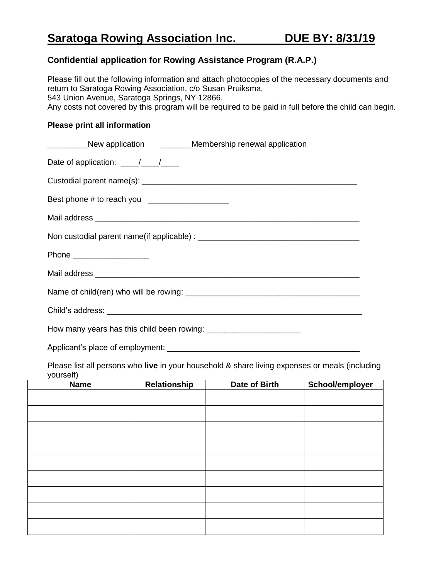# **Saratoga Rowing Association Inc. DUE BY: 8/31/19**

# **Confidential application for Rowing Assistance Program (R.A.P.)**

Please fill out the following information and attach photocopies of the necessary documents and return to Saratoga Rowing Association, c/o Susan Pruiksma, 543 Union Avenue, Saratoga Springs, NY 12866. Any costs not covered by this program will be required to be paid in full before the child can begin.

#### **Please print all information**

| ___________New application __________Membership renewal application |
|---------------------------------------------------------------------|
| Date of application: $\frac{1}{\sqrt{1-\frac{1}{2}}}$               |
|                                                                     |
| Best phone # to reach you _____________________                     |
|                                                                     |
|                                                                     |
| Phone ____________________                                          |
|                                                                     |
|                                                                     |
|                                                                     |
|                                                                     |

Applicant's place of employment: \_\_\_\_\_\_\_\_\_\_\_\_\_\_\_\_\_\_\_\_\_\_\_\_\_\_\_\_\_\_\_\_\_\_\_\_\_\_\_\_\_\_\_

Please list all persons who **live** in your household & share living expenses or meals (including yourself)

| <b>Name</b> | Relationship | Date of Birth | School/employer |
|-------------|--------------|---------------|-----------------|
|             |              |               |                 |
|             |              |               |                 |
|             |              |               |                 |
|             |              |               |                 |
|             |              |               |                 |
|             |              |               |                 |
|             |              |               |                 |
|             |              |               |                 |
|             |              |               |                 |
|             |              |               |                 |